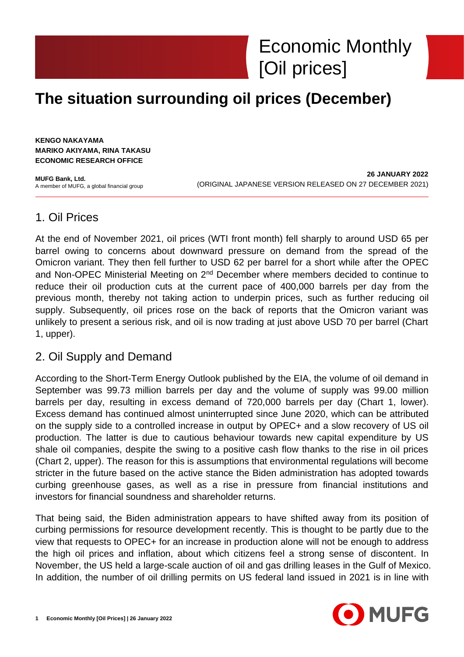## **The situation surrounding oil prices (December)**

**KENGO NAKAYAMA MARIKO AKIYAMA, RINA TAKASU ECONOMIC RESEARCH OFFICE**

**MUFG Bank, Ltd.** A member of MUFG, a global financial group

**26 JANUARY 2022** (ORIGINAL JAPANESE VERSION RELEASED ON 27 DECEMBER 2021)

## 1. Oil Prices

At the end of November 2021, oil prices (WTI front month) fell sharply to around USD 65 per barrel owing to concerns about downward pressure on demand from the spread of the Omicron variant. They then fell further to USD 62 per barrel for a short while after the OPEC and Non-OPEC Ministerial Meeting on 2<sup>nd</sup> December where members decided to continue to reduce their oil production cuts at the current pace of 400,000 barrels per day from the previous month, thereby not taking action to underpin prices, such as further reducing oil supply. Subsequently, oil prices rose on the back of reports that the Omicron variant was unlikely to present a serious risk, and oil is now trading at just above USD 70 per barrel (Chart 1, upper).

## 2. Oil Supply and Demand

According to the Short-Term Energy Outlook published by the EIA, the volume of oil demand in September was 99.73 million barrels per day and the volume of supply was 99.00 million barrels per day, resulting in excess demand of 720,000 barrels per day (Chart 1, lower). Excess demand has continued almost uninterrupted since June 2020, which can be attributed on the supply side to a controlled increase in output by OPEC+ and a slow recovery of US oil production. The latter is due to cautious behaviour towards new capital expenditure by US shale oil companies, despite the swing to a positive cash flow thanks to the rise in oil prices (Chart 2, upper). The reason for this is assumptions that environmental regulations will become stricter in the future based on the active stance the Biden administration has adopted towards curbing greenhouse gases, as well as a rise in pressure from financial institutions and investors for financial soundness and shareholder returns.

That being said, the Biden administration appears to have shifted away from its position of curbing permissions for resource development recently. This is thought to be partly due to the view that requests to OPEC+ for an increase in production alone will not be enough to address the high oil prices and inflation, about which citizens feel a strong sense of discontent. In November, the US held a large-scale auction of oil and gas drilling leases in the Gulf of Mexico. In addition, the number of oil drilling permits on US federal land issued in 2021 is in line with